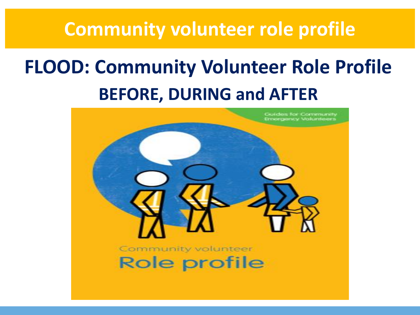### **Community volunteer role profile**

## **FLOOD: Community Volunteer Role Profile BEFORE, DURING and AFTER**

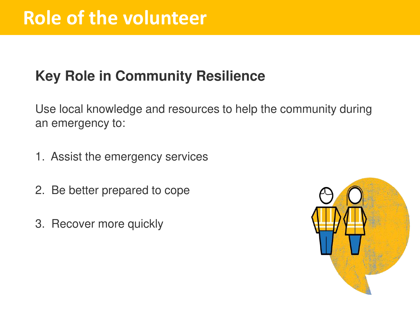### **Key Role in Community Resilience**

Use local knowledge and resources to help the community during an emergency to:

- 1. Assist the emergency services
- 2. Be better prepared to cope
- 3. Recover more quickly

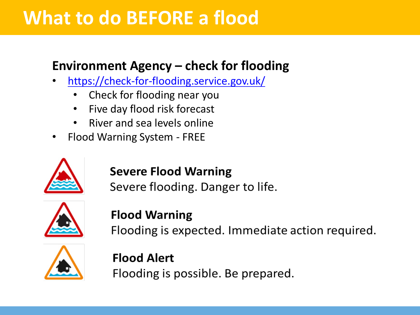## **What to do BEFORE a flood**

### **Environment Agency – check for flooding**

- <https://check-for-flooding.service.gov.uk/>
	- Check for flooding near you
	- Five day flood risk forecast
	- River and sea levels online
- Flood Warning System FREE



#### **Severe Flood Warning**

Severe flooding. Danger to life.



#### **Flood Warning**

Flooding is expected. Immediate action required.



**Flood Alert** Flooding is possible. Be prepared.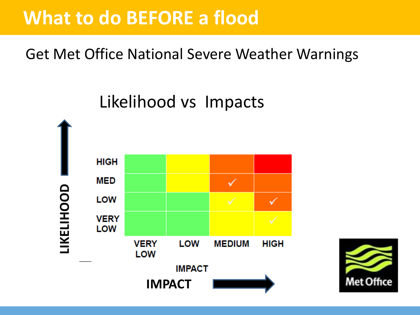## **What to do BEFORE a flood**

Get Met Office National Severe Weather Warnings

Likelihood vs Impacts



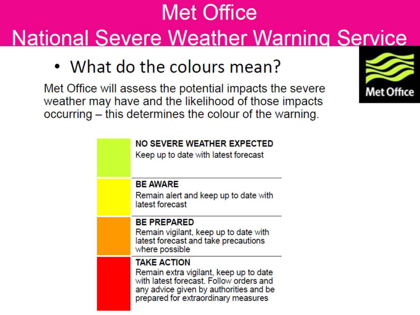# **Met Office National Severe Weather Warning Service**

• What do the colours mean?

Met Office will assess the potential impacts the severe weather may have and the likelihood of those impacts occurring - this determines the colour of the warning.

| <b>NO SEVERE WEATHER EXPECTED</b><br>Keep up to date with latest forecast                                                                                                                |
|------------------------------------------------------------------------------------------------------------------------------------------------------------------------------------------|
| <b>BE AWARE</b>                                                                                                                                                                          |
| Remain alert and keep up to date with<br>latest forecast                                                                                                                                 |
| <b>BE PREPARED</b><br>Remain vigilant, keep up to date with                                                                                                                              |
| latest forecast and take precautions<br>where possible                                                                                                                                   |
| <b>TAKE ACTION</b><br>Remain extra vigilant, keep up to date<br>with latest forecast. Follow orders and<br>any advice given by authorities and be<br>prepared for extraordinary measures |

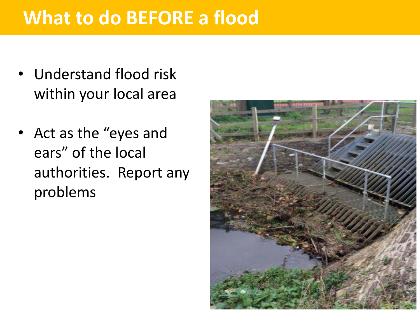## **What to do BEFORE a flood**

- Understand flood risk within your local area
- Act as the "eyes and ears" of the local authorities. Report any problems

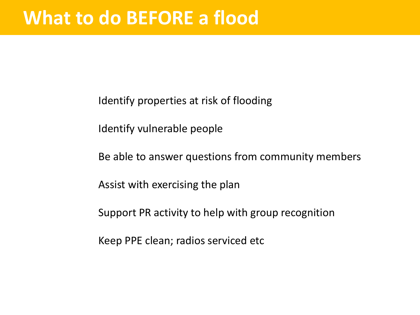Identify properties at risk of flooding

Identify vulnerable people

Be able to answer questions from community members

Assist with exercising the plan

Support PR activity to help with group recognition

Keep PPE clean; radios serviced etc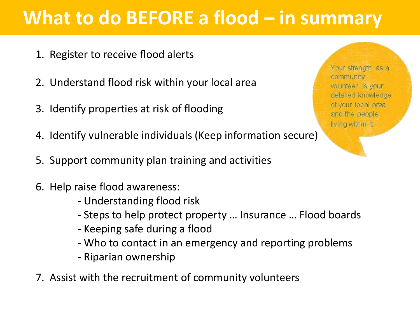## **What to do BEFORE a flood – in summary**

- 1. Register to receive flood alerts
- 2. Understand flood risk within your local area
- 3. Identify properties at risk of flooding
- 4. Identify vulnerable individuals (Keep information secure)
- 5. Support community plan training and activities
- 6. Help raise flood awareness:
	- Understanding flood risk
	- Steps to help protect property … Insurance … Flood boards
	- Keeping safe during a flood
	- Who to contact in an emergency and reporting problems
	- Riparian ownership
- 7. Assist with the recruitment of community volunteers

Your strength as a community volunteer is your detailed knowledge of your local area and the people. living within it.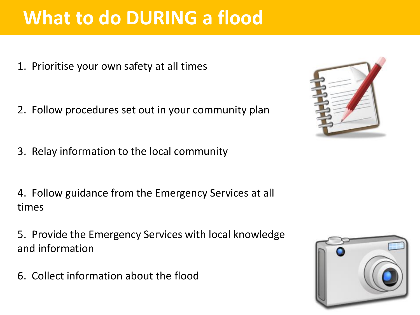## **What to do DURING a flood**

1. Prioritise your own safety at all times

- 2. Follow procedures set out in your community plan
- 3. Relay information to the local community

4. Follow guidance from the Emergency Services at all times

5. Provide the Emergency Services with local knowledge and information

6. Collect information about the flood



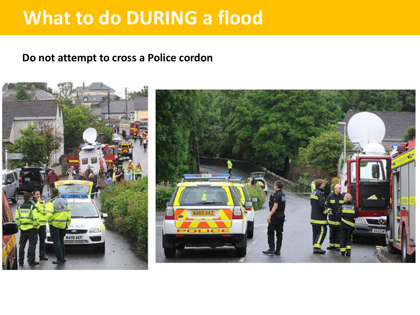## **What to do DURING a flood**

#### **Do not attempt to cross a Police cordon**

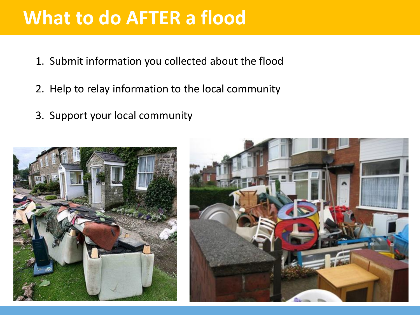## **What to do AFTER a flood**

- 1. Submit information you collected about the flood
- 2. Help to relay information to the local community
- 3. Support your local community